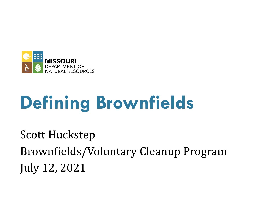

# **Defining Brownfields**

Scott Huckstep Brownfields/Voluntary Cleanup Program July 12, 2021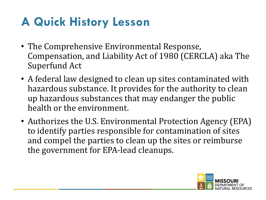### **A Quick History Lesson**

- The Comprehensive Environmental Response, Compensation, and Liability Act of 1980 (CERCLA) aka The Superfund Act
- A federal law designed to clean up sites contaminated with hazardous substance. It provides for the authority to clean up hazardous substances that may endanger the public health or the environment.
- Authorizes the U.S. Environmental Protection Agency (EPA) to identify parties responsible for contamination of sites and compel the parties to clean up the sites or reimburse the government for EPA-lead cleanups.

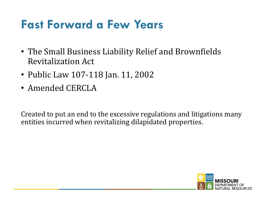#### **Fast Forward a Few Years**

- The Small Business Liability Relief and Brownfields Revitalization Act
- Public Law 107-118 Jan. 11, 2002
- Amended CERCLA

Created to put an end to the excessive regulations and litigations many entities incurred when revitalizing dilapidated properties.

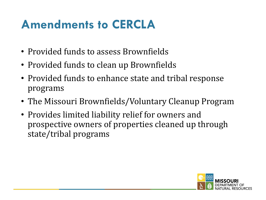#### **Amendments to CERCLA**

- Provided funds to assess Brownfields
- Provided funds to clean up Brownfields
- Provided funds to enhance state and tribal response programs
- The Missouri Brownfields/Voluntary Cleanup Program
- Provides limited liability relief for owners and prospective owners of properties cleaned up through state/tribal programs

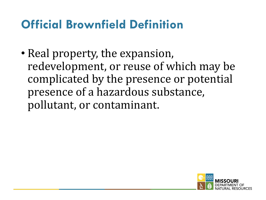#### **Official Brownfield Definition**

• Real property, the expansion, redevelopment, or reuse of which may be complicated by the presence or potential presence of a hazardous substance, pollutant, or contaminant.

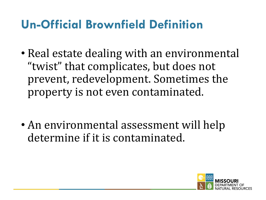#### **Un-Official Brownfield Definition**

- Real estate dealing with an environmental "twist" that complicates, but does not prevent, redevelopment. Sometimes the property is not even contaminated.
- An environmental assessment will help determine if it is contaminated.

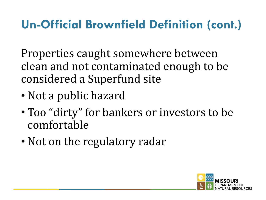### **Un-Official Brownfield Definition (cont.)**

Properties caught somewhere between clean and not contaminated enough to be considered a Superfund site

- Not a public hazard
- Too "dirty" for bankers or investors to be comfortable
- Not on the regulatory radar

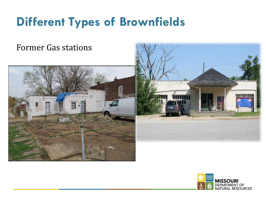#### Former Gas stations





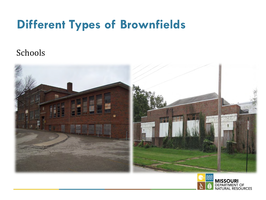#### Schools



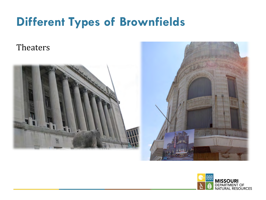**Theaters** 





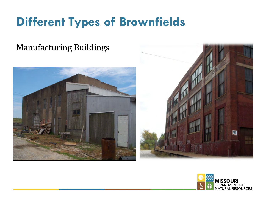#### **Manufacturing Buildings**





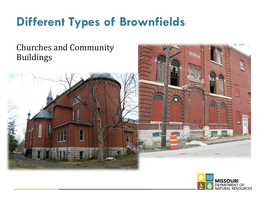#### Churches and Community Buildings

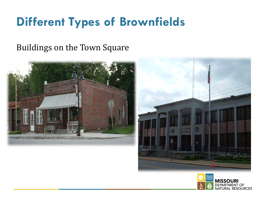#### Buildings on the Town Square





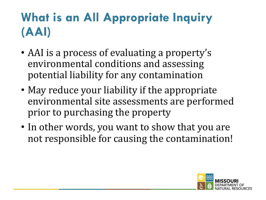### **What is an All Appropriate Inquiry (AAI)**

- AAI is a process of evaluating a property's environmental conditions and assessing potential liability for any contamination
- May reduce your liability if the appropriate environmental site assessments are performed prior to purchasing the property
- In other words, you want to show that you are not responsible for causing the contamination!